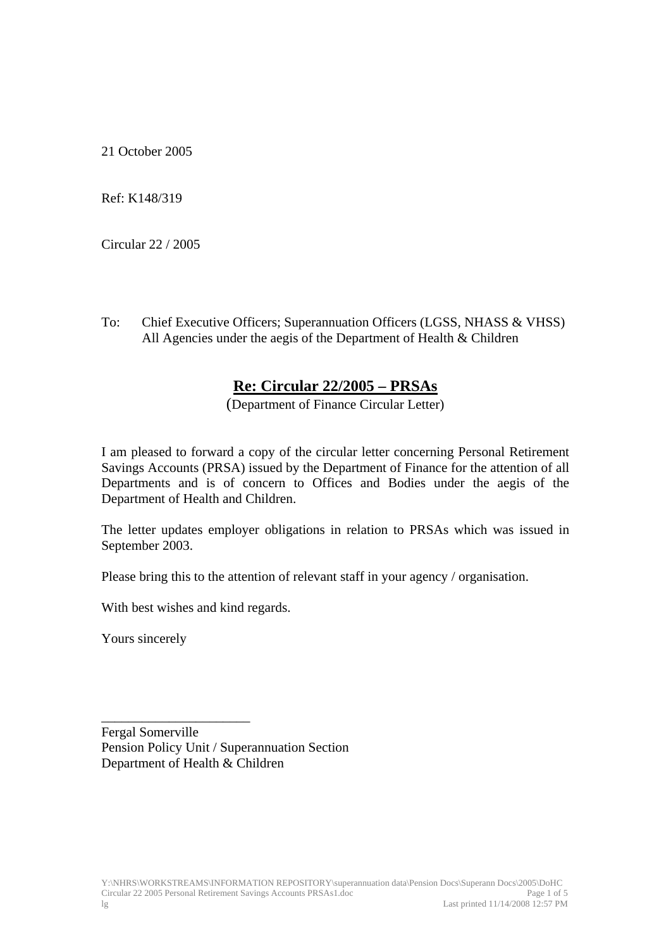21 October 2005

Ref: K148/319

Circular 22 / 2005

To: Chief Executive Officers; Superannuation Officers (LGSS, NHASS & VHSS) All Agencies under the aegis of the Department of Health & Children

## **Re: Circular 22/2005 – PRSAs**

(Department of Finance Circular Letter)

I am pleased to forward a copy of the circular letter concerning Personal Retirement Savings Accounts (PRSA) issued by the Department of Finance for the attention of all Departments and is of concern to Offices and Bodies under the aegis of the Department of Health and Children.

The letter updates employer obligations in relation to PRSAs which was issued in September 2003.

Please bring this to the attention of relevant staff in your agency / organisation.

With best wishes and kind regards.

Yours sincerely

\_\_\_\_\_\_\_\_\_\_\_\_\_\_\_\_\_\_\_\_\_\_ Fergal Somerville Pension Policy Unit / Superannuation Section Department of Health & Children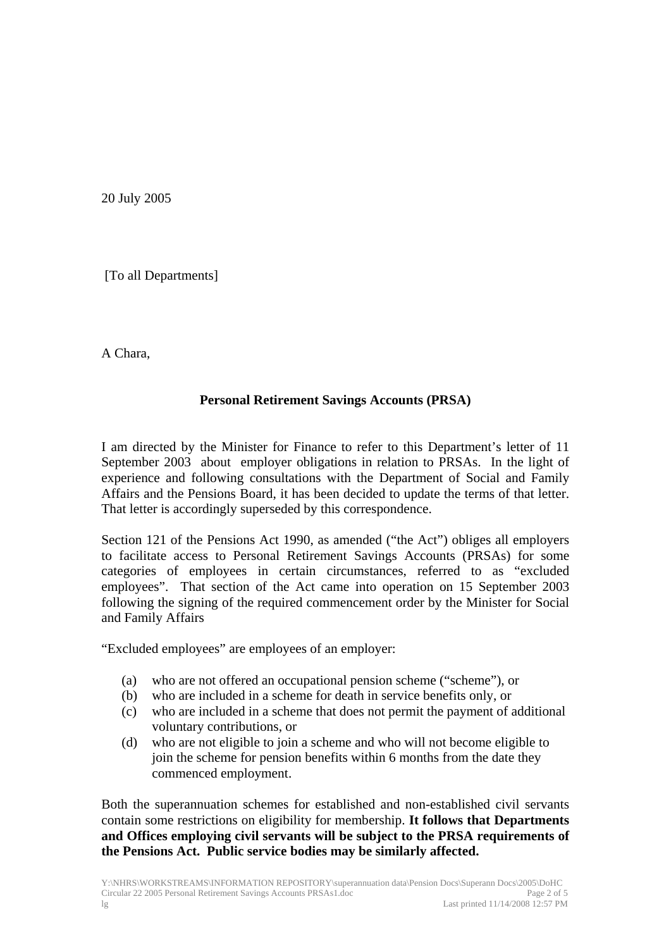20 July 2005

[To all Departments]

A Chara,

## **Personal Retirement Savings Accounts (PRSA)**

I am directed by the Minister for Finance to refer to this Department's letter of 11 September 2003 about employer obligations in relation to PRSAs. In the light of experience and following consultations with the Department of Social and Family Affairs and the Pensions Board, it has been decided to update the terms of that letter. That letter is accordingly superseded by this correspondence.

Section 121 of the Pensions Act 1990, as amended ("the Act") obliges all employers to facilitate access to Personal Retirement Savings Accounts (PRSAs) for some categories of employees in certain circumstances, referred to as "excluded employees". That section of the Act came into operation on 15 September 2003 following the signing of the required commencement order by the Minister for Social and Family Affairs

"Excluded employees" are employees of an employer:

- (a) who are not offered an occupational pension scheme ("scheme"), or
- (b) who are included in a scheme for death in service benefits only, or
- (c) who are included in a scheme that does not permit the payment of additional voluntary contributions, or
- (d) who are not eligible to join a scheme and who will not become eligible to join the scheme for pension benefits within 6 months from the date they commenced employment.

Both the superannuation schemes for established and non-established civil servants contain some restrictions on eligibility for membership. **It follows that Departments and Offices employing civil servants will be subject to the PRSA requirements of the Pensions Act. Public service bodies may be similarly affected.**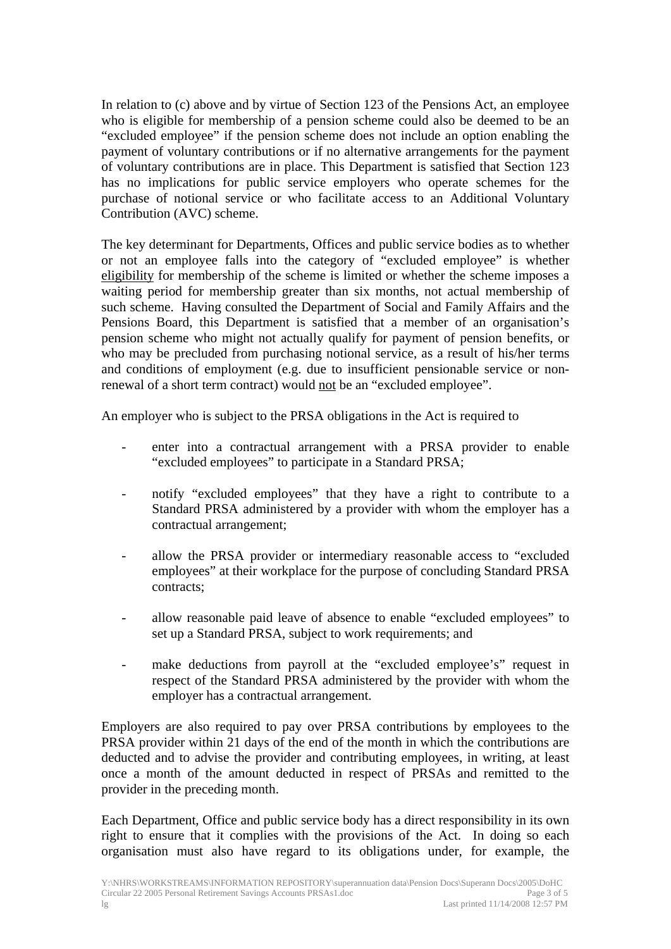In relation to (c) above and by virtue of Section 123 of the Pensions Act, an employee who is eligible for membership of a pension scheme could also be deemed to be an "excluded employee" if the pension scheme does not include an option enabling the payment of voluntary contributions or if no alternative arrangements for the payment of voluntary contributions are in place. This Department is satisfied that Section 123 has no implications for public service employers who operate schemes for the purchase of notional service or who facilitate access to an Additional Voluntary Contribution (AVC) scheme.

The key determinant for Departments, Offices and public service bodies as to whether or not an employee falls into the category of "excluded employee" is whether eligibility for membership of the scheme is limited or whether the scheme imposes a waiting period for membership greater than six months, not actual membership of such scheme. Having consulted the Department of Social and Family Affairs and the Pensions Board, this Department is satisfied that a member of an organisation's pension scheme who might not actually qualify for payment of pension benefits, or who may be precluded from purchasing notional service, as a result of his/her terms and conditions of employment (e.g. due to insufficient pensionable service or nonrenewal of a short term contract) would not be an "excluded employee".

An employer who is subject to the PRSA obligations in the Act is required to

- enter into a contractual arrangement with a PRSA provider to enable "excluded employees" to participate in a Standard PRSA;
- notify "excluded employees" that they have a right to contribute to a Standard PRSA administered by a provider with whom the employer has a contractual arrangement;
- allow the PRSA provider or intermediary reasonable access to "excluded employees" at their workplace for the purpose of concluding Standard PRSA contracts;
- allow reasonable paid leave of absence to enable "excluded employees" to set up a Standard PRSA, subject to work requirements; and
- make deductions from payroll at the "excluded employee's" request in respect of the Standard PRSA administered by the provider with whom the employer has a contractual arrangement.

Employers are also required to pay over PRSA contributions by employees to the PRSA provider within 21 days of the end of the month in which the contributions are deducted and to advise the provider and contributing employees, in writing, at least once a month of the amount deducted in respect of PRSAs and remitted to the provider in the preceding month.

Each Department, Office and public service body has a direct responsibility in its own right to ensure that it complies with the provisions of the Act. In doing so each organisation must also have regard to its obligations under, for example, the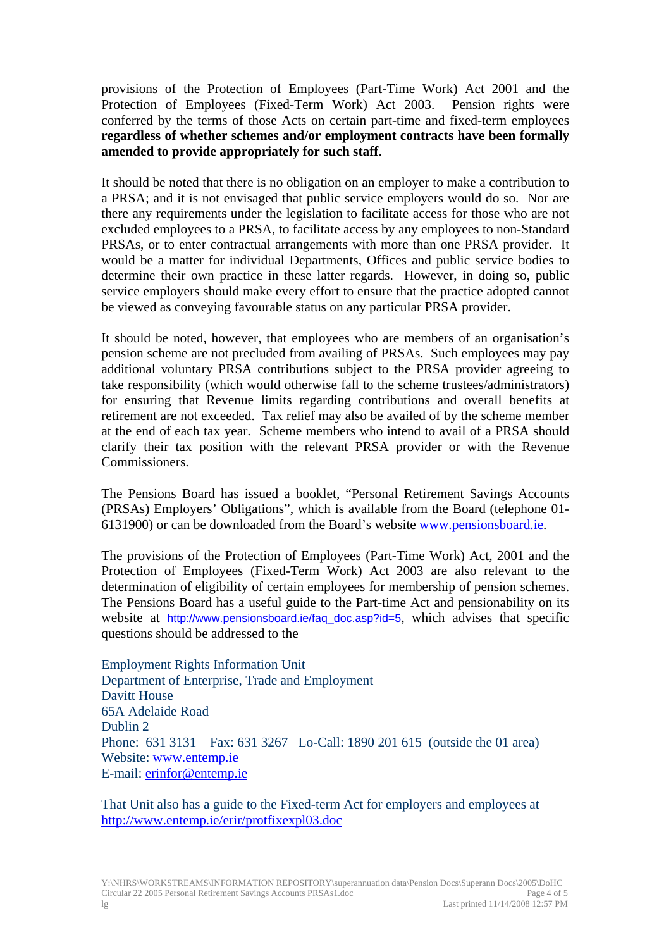provisions of the Protection of Employees (Part-Time Work) Act 2001 and the Protection of Employees (Fixed-Term Work) Act 2003. Pension rights were conferred by the terms of those Acts on certain part-time and fixed-term employees **regardless of whether schemes and/or employment contracts have been formally amended to provide appropriately for such staff**.

It should be noted that there is no obligation on an employer to make a contribution to a PRSA; and it is not envisaged that public service employers would do so. Nor are there any requirements under the legislation to facilitate access for those who are not excluded employees to a PRSA, to facilitate access by any employees to non-Standard PRSAs, or to enter contractual arrangements with more than one PRSA provider. It would be a matter for individual Departments, Offices and public service bodies to determine their own practice in these latter regards. However, in doing so, public service employers should make every effort to ensure that the practice adopted cannot be viewed as conveying favourable status on any particular PRSA provider.

It should be noted, however, that employees who are members of an organisation's pension scheme are not precluded from availing of PRSAs. Such employees may pay additional voluntary PRSA contributions subject to the PRSA provider agreeing to take responsibility (which would otherwise fall to the scheme trustees/administrators) for ensuring that Revenue limits regarding contributions and overall benefits at retirement are not exceeded. Tax relief may also be availed of by the scheme member at the end of each tax year. Scheme members who intend to avail of a PRSA should clarify their tax position with the relevant PRSA provider or with the Revenue Commissioners.

The Pensions Board has issued a booklet, "Personal Retirement Savings Accounts (PRSAs) Employers' Obligations", which is available from the Board (telephone 01- 6131900) or can be downloaded from the Board's website [www.pensionsboard.ie](http://www.pensionsboard.ie/).

The provisions of the Protection of Employees (Part-Time Work) Act, 2001 and the Protection of Employees (Fixed-Term Work) Act 2003 are also relevant to the determination of eligibility of certain employees for membership of pension schemes. The Pensions Board has a useful guide to the Part-time Act and pensionability on its website at [http://www.pensionsboard.ie/faq\\_doc.asp?id=5](http://www.pensionsboard.ie/faq_doc.asp?id=5), which advises that specific questions should be addressed to the

Employment Rights Information Unit Department of Enterprise, Trade and Employment Davitt House 65A Adelaide Road Dublin 2 Phone: 631 3131 Fax: 631 3267 Lo-Call: 1890 201 615 (outside the 01 area) Website: [www.entemp.ie](http://www.entemp.ie/) E-mail: [erinfor@entemp.ie](mailto:erinfor@entemp.ie)

That Unit also has a guide to the Fixed-term Act for employers and employees at <http://www.entemp.ie/erir/protfixexpl03.doc>